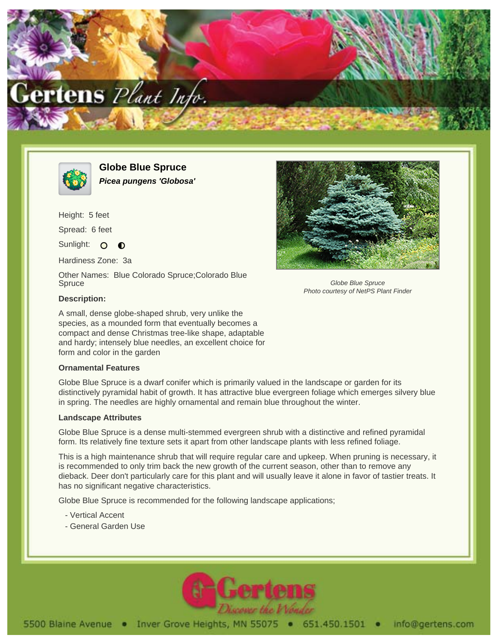



**Globe Blue Spruce Picea pungens 'Globosa'**

Height: 5 feet

Spread: 6 feet

Sunlight: O  $\bullet$ 

Hardiness Zone: 3a

Other Names: Blue Colorado Spruce;Colorado Blue **Spruce** 



Globe Blue Spruce Photo courtesy of NetPS Plant Finder

## **Description:**

A small, dense globe-shaped shrub, very unlike the species, as a mounded form that eventually becomes a compact and dense Christmas tree-like shape, adaptable and hardy; intensely blue needles, an excellent choice for form and color in the garden

## **Ornamental Features**

Globe Blue Spruce is a dwarf conifer which is primarily valued in the landscape or garden for its distinctively pyramidal habit of growth. It has attractive blue evergreen foliage which emerges silvery blue in spring. The needles are highly ornamental and remain blue throughout the winter.

## **Landscape Attributes**

Globe Blue Spruce is a dense multi-stemmed evergreen shrub with a distinctive and refined pyramidal form. Its relatively fine texture sets it apart from other landscape plants with less refined foliage.

This is a high maintenance shrub that will require regular care and upkeep. When pruning is necessary, it is recommended to only trim back the new growth of the current season, other than to remove any dieback. Deer don't particularly care for this plant and will usually leave it alone in favor of tastier treats. It has no significant negative characteristics.

Globe Blue Spruce is recommended for the following landscape applications;

- Vertical Accent
- General Garden Use